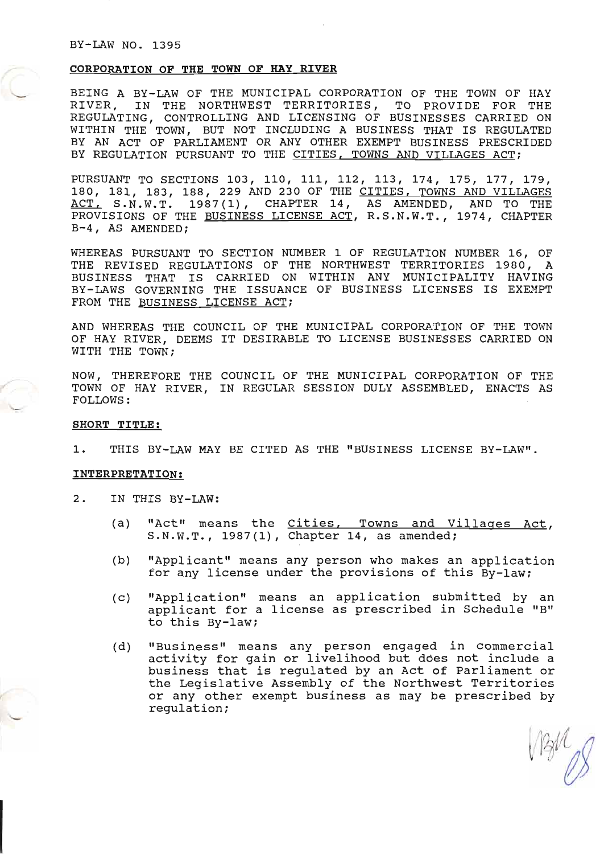### CORPORATION OF THE TOWN OF HAY RIVER

BEING A BY-LAW OF THE MUNICIPAL CORPORATION OF THE TOWN OF HAY RIVER, IN THE NORTHWEST TERRITORIES, TO PROVIDE FOR THE REGULATING, CONTROLLING AND LICENSING OF BUSINESSES CARRIED ON WITHIN THE TOWN, BUT NOT INCLUDING A BUSINESS THAT IS REGULATED BY AN ACT OF PARLIAMENT OR ANY OTHER EXEMPT BUSINESS PRESCRIDED BY REGULATION PURSUANT TO THE CITIES, TOWNS AND VILLAGES ACT;

PURSUANT TO SECTIONS 103, 110, 111, 112, 113, 174, 175, 177, 179, 180, 181, 183, 188, 229 AND 230 OF THE CITIES, TOWNS AND VILLAGES ACT, S.N.W.T. 1987(1), CHAPTER 14, AS AMENDED, AND TO THE PROVISIONS OF THE BUSINESS LICENSE ACT, R.S.N.W.T., 1974, CHAPTER B-4, AS AMENDED;

WHEREAS PURSUANT TO SECTION NUMBER 1 OF REGULATION NUMBER 16, OF THE REVISED REGULATIONS OF THE NORTHWEST TERRITORIES 1980, A BUSINESS THAT TS CARRIED ON WITHIN ANY MUNICIPALITY HAVING BY-LAWS GOVERNING THE ISSUANCE OF BUSINESS LICENSES IS EXEMPT FROM THE BUSINESS LICENSE ACT;

AND WHEREAS THE COUNCIL OF THE MUNICIPAL CORPORATION OF THE TOWN OF HAY RIVER, DEEMS IT DESIRABLE TO LICENSE BUSINESSES CARRIED ON WITH THE TOWN;

NOW, THEREFORE THE COUNCTL OF THE MUNTCTPAL CORPORATTON OF THE TOWN OF HAY RIVER, IN REGULAR SESSION DULY ASSEMBLED, ENACTS AS FOLLOWS:

### SHORT TITLE:

1. THIS BY-LAW MAY BE CITED AS THE "BUSINESS LICENSE BY-LAW".

#### INTERPRETATION:

2. IN THIS BY-LAW:

- (a) "Act" means the Cities, Towns and Villages Act, S.N.W.T., 1987(1), Chapter 14, as amended;
- (b) "Applicant" means any person who makes an application for any license under the provisions of this By-law;
- (c) "Application" means an application submitted by an applicant for a license as prescribed in Schedule "B" to this BY-law;
- (d) "Business" means any person engaged in commercial activity for gain or livelihood but does not include a business that is regulated by an Act of Parliament or the Legislative Assembly of the Northwest Territories or any other exempt business as may be prescribed by regulation;

 $151/10$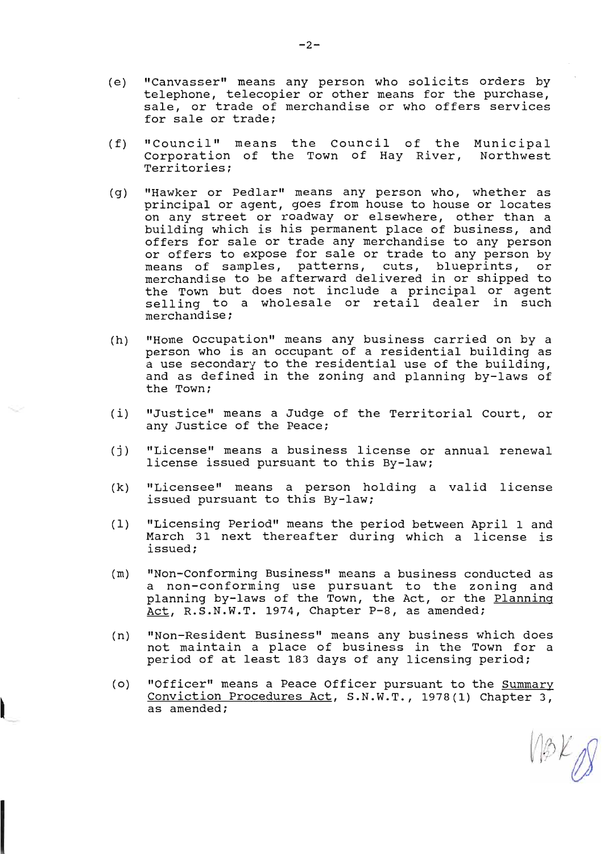- (e) "Canvasser" means any person who solicits orders by telephone, telecopier or other means for the purchase, sale, or trade of merchandise or who offers services for sale or trade;
- (f) "Council" means the Council of the Municipal Corporation of the Town of Hay River, Northwest Territories;
- (g) "Hawker or Pedlar" means any person who, whether as principal or agent, goes from house to house or locates on any street or roadway or elsewhere, other than a building which is his permanent place of business, and offers for sale or trade any merchandise to any person or offers to expose for sale or trade to any person by of offers as expose for sare of crade as any person by<br>means of samples, patterns, cuts, blueprints, or merchandise to be afterward delivered in or shipped to the Town but does not include a principal or agent selling to a wholesale or retail dealer in such nerchandise;
- (h) "Home Occupation" means any business carried on by a person who is an occupant of a residential building as a use secondary to the residential use of the building, and as defined in the zoning and planning by-laws of the Town;
- (i) "Justice" means a Judge of the Territorial Court, or any Justice of the Peace;
- (j) "License" means a business license or annual renewal license issued pursuant to this By-law;
- (k) "Licensee" means a person holding a valid license issued pursuant to this By-law;
- (1) "Licensing Period" means the period between April 1 and March 31 next thereafter during which a license is issued;
- (m) "Non-Conforming Business" means a business conducted as<br>a non-conforming use pursuant to the zoning and a hon conforming act particule to the Boning and<br>planning by-laws of the Town, the Act, or the <u>Planning</u><br><u>Act</u>, R.S.N.W.T. 1974, Chapter P-8, as amended;
- (n) "Non-Resident Business" means any business which does not maintain a place of business in the Town for a period of at least L83 days of any licensing period;
- (o) "Officer" means a Peace Officer pursuant to the Summary Conviction Procedures Act, S.N.W.T., 1978 (1) Chapter 3, as amended;

(1 p K U)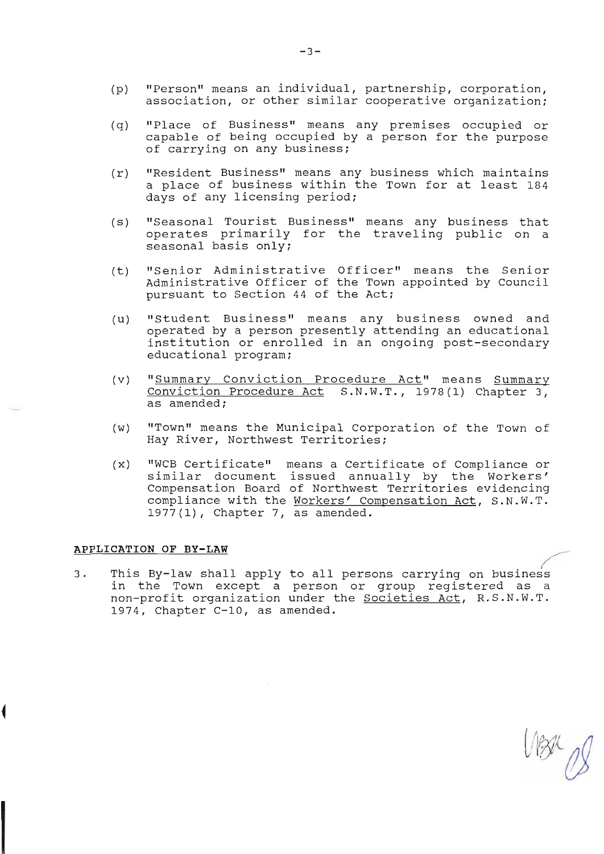- (p) "Person" means an individual, partnership, corporation, association, or other similar cooperative organization;
- $(q)$ "Place of Business" means any premises occupied or capable of being occupied by a person for the purpose of carrying on any business;
- $(r)$  "Resident Business" means any business which maintains a place of business within the Town for at least 184 days of any licensing period;
- (s) "Seasonal Tourist Business" means any business that operates primarily for the traveling public on a seasonal basis only;
- (t) "Senior Administrative Officer" means the Senior<br>Administrative Officer of the Town appointed by Council pursuant to Section 44 of the Act;
- (u) "Student Business" means any business owned and operated by a person presently attending an educational institution or enrolled in an ongoing post-secondary educational program;
- (v) "Summary Conviction Procedure Act" means Summary Conviction Procedure Act S.N.W.T., 1978(1) Chapter 3, as amended;
- (w) "Town" means the Municipal Corporation of the Town of Hay River, Northwest Territories;
- (x) "WCB Certificate" means a Certificate of Compliance or similar document issued annually by the Workers' Compensation Board of Northwest Territories evidencing compliance with the Workers' Compensation Act, S.N.W.T.  $1977(1)$ , Chapter 7, as amended.

### APPLICATION OF BY-LAW

This By-law shall apply to all persons carrying on business<br>in the Town except a person or group registered as a  $3.$ In the fown except a person of group registered as a 1974, Chapter C-10, as amended.

 $V\otimes\mathbb{Z}_{p}$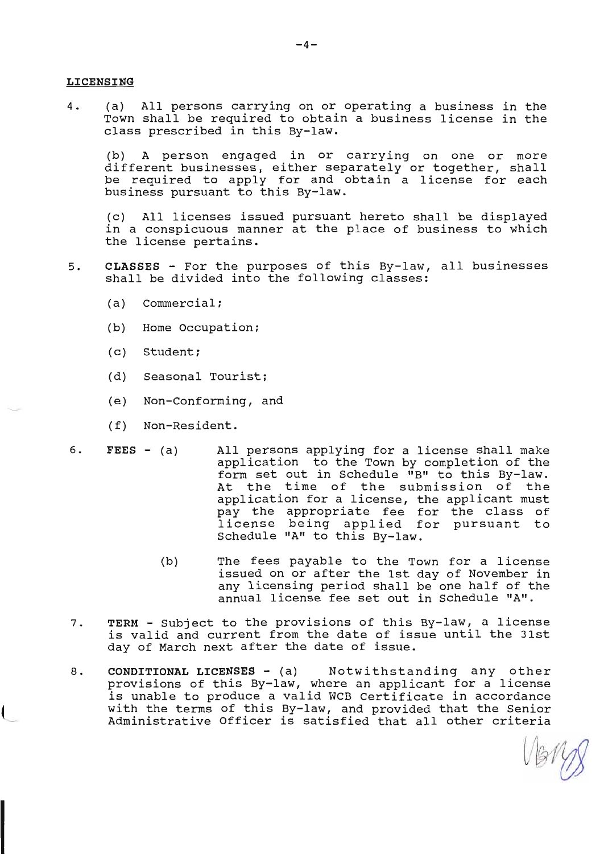### IJICENSING

4. (a) All persons carrying on or operating a business in the Town shall be required to obtain a business license in the class prescribed in this By-law.

(b) A person engaged in or carying on one or more different businesses, either separately or together, shall be reguired to apply for and obtain a license for each business pursuant to this By-Iaw.

(c) A11 licenses issued pursuant hereto shall be displayed in a conspicuous manner at the place of business to which the license pertains.

- 5. CLASSES For the purposes of this By-law, all businesses<br>shall be divided into the following classes:
	- $(a)$  Commercial;
	- (b) Home Occupation;
	- (c) Student;
	- (d) Seasonal Tourist;
	- (e) Non-Conforming, and
	- (f) Non-Resident.
- 6. FEES (a) All persons applying for a license shall make<br>application to the Town by completion of the<br>form set out in Schedule "B" to this By-law.<br>At the time of the submission of the<br>application for a license, the appl pay the appropriate fee for the class of license being applied for pursuant to Schedule "A" to this By-law.
	- The fees payable to the Town for a license issued on or after the 1st day of November in any licensing period sha1l be one half of the annual license fee set out in Schedule "A". (b)
- 7. TERM Subject to the provisions of this By-law, a license<br>is valid and current from the date of issue until the 31st day of March next after the date of issue.
- 8. CONDITIONAL LICENSES (a) Notwithstanding any other<br>provisions of this By-law, where an applicant for a license<br>is unable to produce a valid WCB Certificate in accordance<br>with the terms of this By-law, and provided tha

Very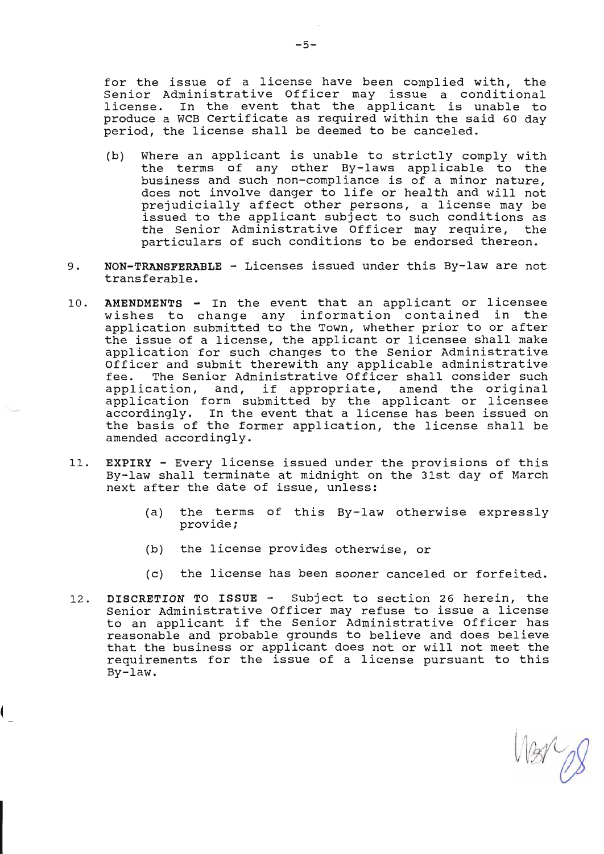for the issue of a license have been complied with, the Senior Administrative officer may issue a conditional license. In the event that the applicant is unable to produce a WCB Certificate as required within the said 60 day period, the license shall be deemed to be canceled.

- (b) Where an applicant is unable to strictly comply with the terms of any other By-Iaws applicable to the business and such non-compliance is of a minor nature,<br>does not involve danger to life or health and will not prejudicially affect other persons, a license may be issued to the applicant subject to such conditions as the Senior Administrative Officer may require, the particulars of such conditions to be endorsed thereon.
- 9. NON-TRANSFERABLE Licenses issued under this By-law are not transferable.
- 10. AMENDMENTS In the event that an applicant or licensee wishes to change any information contained in the application submitted to the Town, whether prior to or after the issue of a license, the applicant or licensee shall make application for such changes to the Senior Administrative Officer and submit therewith any applicable administrative<br>fee. The Senior Administrative Officer shall consider such<br>application, and, if appropriate, amend the original application form submitted by the applicant or licensee accordingly. In the event that a license has been issued on the basis of the former application, the license shall be amended accordingly.
- 11. EXPIRY Every license issued under the provisions of this By-law shall terminate at midnight on the 31st day of March next after the date of issue, unless:
	- (a) the terms of this By-1aw otherwise expressly provide;
	- (b) the license provides otherwise, or

1

- (c) the license has been sooner canceled or forfeited.
- 12. DISCRETION TO ISSUE Subject to section 26 herein, the Senior Administrative Officer may refuse to issue a license to an applicant if the Senior Administrative Officer has reasonable and probable grounds to believe and does believe that the business or applicant does not or will not meet the requirements for the issue of a license pursuant to this By-1aw.

 $\sqrt{81-\rho}$ I/ /) v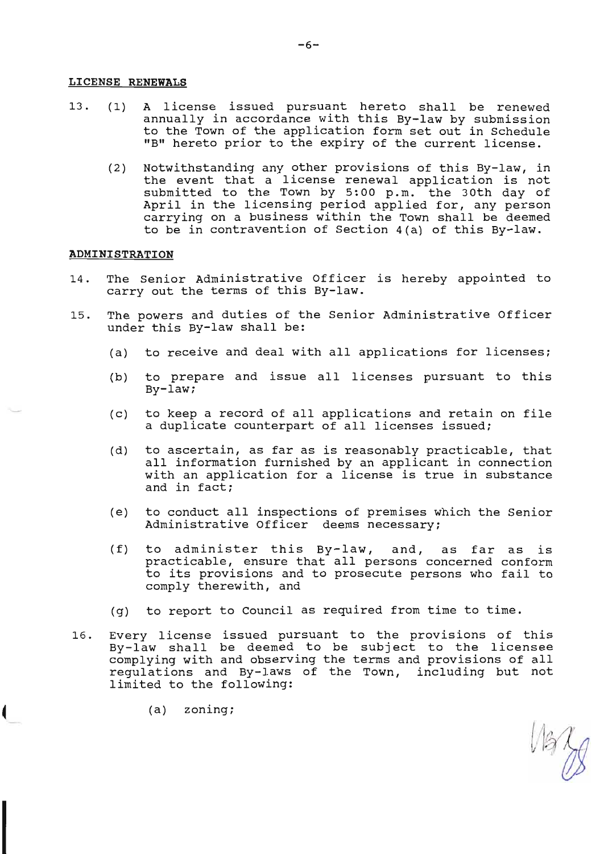### LICENSE RENEWALS

- 13. (1) A license issued pursuant hereto shall be renewed<br>annually in accordance with this By-law by submission<br>to the Town of the application form set out in Schedule<br>rrBrr hereto prior to the expiry of the current licens
	- (2) Notwithstanding any other provisions of this By-law, in<br>the event that a license renewal application is not<br>submitted to the Town by 5:00 p.m. the 30th day of<br>April in the licensing period applied for, any person<br>carry to be in contravention of Section 4 (a) of this By-Iaw.

### ADMINISTRATION

- 14. The Senior Administrative Officer is hereby appointed to carry out the terms of this By-law.
- 15. The powers and duties of the Senior Administrative Officer under this By-law shal1 be:
	- (a) to receive and deal with all applications for licenses;
	- (b) to prepare and issue all licenses pursuant to this  $By-Law;$
	- (c) to keep a record of all applications and retain on file a duplicate counterpart of all licenses issued;
	- (d) to ascertain, as far as is reasonably practicable, that<br>all information furnished by an applicant in connection<br>with an application for a license is true in substance and in fact;
	- (e) to conduct aII inspections of premises which the Senior Administrative Officer deems necessary;
	- (f) to administer this By-law, and, as far as is<br>practicable, ensure that all persons concerned conform<br>to its provisions and to prosecute persons who fail to comply therewith, and
	- (g) to report to Council as reguired from time to time.
- 16. Every license issued pursuant to the provisions of this By-Iaw shall be deemed to be subject to the licensee regulations and By-laws of the Town, including but not limited to the following:

 $M_{\rm H}$ 

(a) zoning;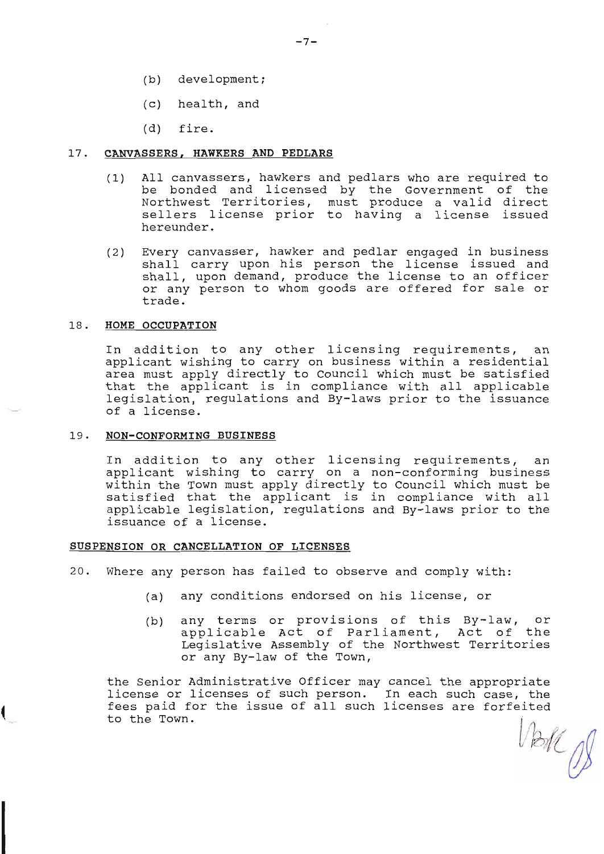- (b) development;
- (c) health, and
- (d) fire.

#### 17. CANVASSERS, HAWKERS AND PEDLARS

- (1) All canvassers, hawkers and pedlars who are required to be bonded and licensed by the Government of the Northwest Territories, must produce a valid direct sellers license prior to having a license issued hereunder.
- Every canvasser, hawker and pedlar engaged in business shall carry upon his person the license issued and sha1l, upon demand, produce the license to an officer or any person to whom goods are offered for sale or trade. (2)

### 18. HOME OCCUPATION

In addition to any other licensing requirements, an applicant wishing to carry on business within a residential area must apply directly to Council which must be satisfied<br>that the applicant is in compliance with all applicable<br>legislation, regulations and By-laws prior to the issuance<br>of a license.

### 19. NON-CONFORMING BUSINESS

In addition to any other licensing requirements, an applicant wishing to carry on a non-conforming business within the Town must apply directly to Council which must be satisfied that the applicant is in compliance with al

### SUSPENSION OR CANCELLATION OF LICENSES

20. Where any person has failed to observe and comply with:

- (a) any conditions endorsed on his license, or
- (b) any terms or provisions of this By-1aw, or applicable Act of Parliament, Act of the Legislative Assembly of the Northwest Territories or any By-Iaw of the Town,

the Senior Administrative Officer may cancel the appropriate<br>license or licenses of such person. In each such case, the<br>fees paid for the issue of all such licenses are forfeited to the Town.  $V$ boll  $\beta$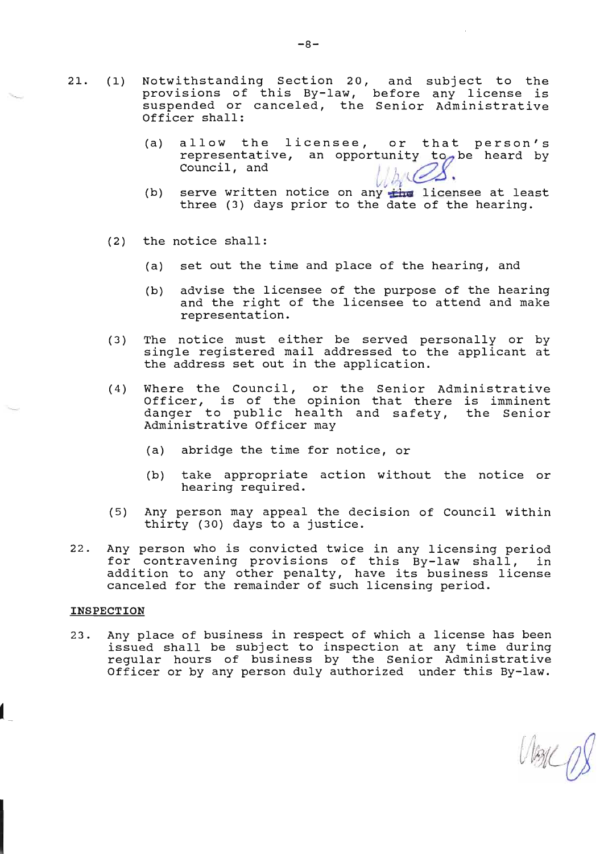- 2L. (1) Notwithstanding Section 20, and subject to the provisions of this By-law, before any license is suspended or canceled, the Senior Administrative Officer shall:
	- (a) allow the licensee, or that person's representative, an opportunity to be heard by Council, and

l J

- (b) serve written notice on any  $\tfrac{1}{\sqrt{2}}$  licensee at least three (3) days prior to the date of the hearing.
- (2) the notice shall:
	- (a) set out the tine and place of the hearing, and
	- (b) advise the licensee of the purpose of the hearing and the right of the licensee to attend and make representation.
- (3) The notice must either be served personally or by single registered mail addressed to the applicant at the address set out in the application.
- (4) Where the Council, or the Senior Administrative Officer, is of the opinion that there is imminent danger to public health and safety, the Senior Administrative Officer may
	- (a) abridge the time for notice, or
	- (b) take appropriate action without the notice or hearing required.
- (5) Any person may appeal the decision of Council within thirty (30) days to a justice.
- 22. Any person who is convicted twice in any licensing period<br>for contravening provisions of this By-law shall, in<br>addition to any other penalty, have its business license addressen to dny centr pendrey, have res subfineed

### INSPECTION

23. Any place of business in respect of which a license has been issued shall be subject to inspection at any tine during regular hours of business by the Senior Administrative officer or by any person duly authorized under this By-Iaw.

Visice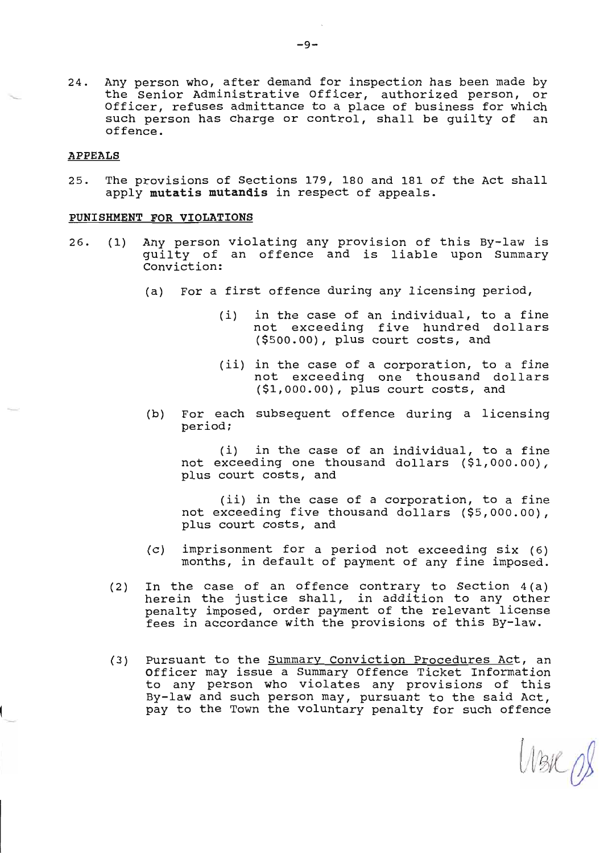24. Any person who, after demand for inspection has been made by the Senior Administrative Officer, authorized person, or Officer, refuses admittance to a place of business for which<br>such person has charge or control, shall be quilty of an such person has charge or control, shall be quilty of offence.

### **APPEALS**

25. The provisions of Sections L79, L80 and L8L of the Act shal1 apply nutatis mutandis in respect of appeals.

### PUNISHMENT FOR VIOLATIONS

- Any person violating any provision of this By-law is quilty of an offence and is liable upon Summary Conviction:  $26.$   $(1)$ 
	- (a) For a first offence during any licensing period,
		- (i) in the case of an individual, to a fine not exceeding five hundred dollars (\$500.00), plus court costs, and
		- (ii) in the case of a corporation, to a fine not exceeding one thousand dollars (\$L,00O.00), plus court costs, and
	- (b) For each subsequent offence during a licensing period;

(i) in the case of an individual, to a fine not exceeding one thousand dollars (\$L,000.00), plus court costs, and

(ii) in the case of a corporation, to a fine not exceeding five thousand dollars (\$5,000.00), plus court costs, and

- (c) imprisonment for a period not exceeding six (6) months, in default of payment of any fine imposed.
- In the case of an offence contrary to Section 4 (a) herein the justice shall, in addition to any other penalty imposed, order payment of the relevant license fees in accordance with the provisions of this By-law. (2)
- Pursuant to the **Summary Conviction Procedures Act**, an Officer may issue a Summary Offence Ticket Information to any person who violates any provisions of this By-law and such person may, pursuant to the said Act, pay to the Town the voluntary penalty for such offence (3)

 $W$ BIC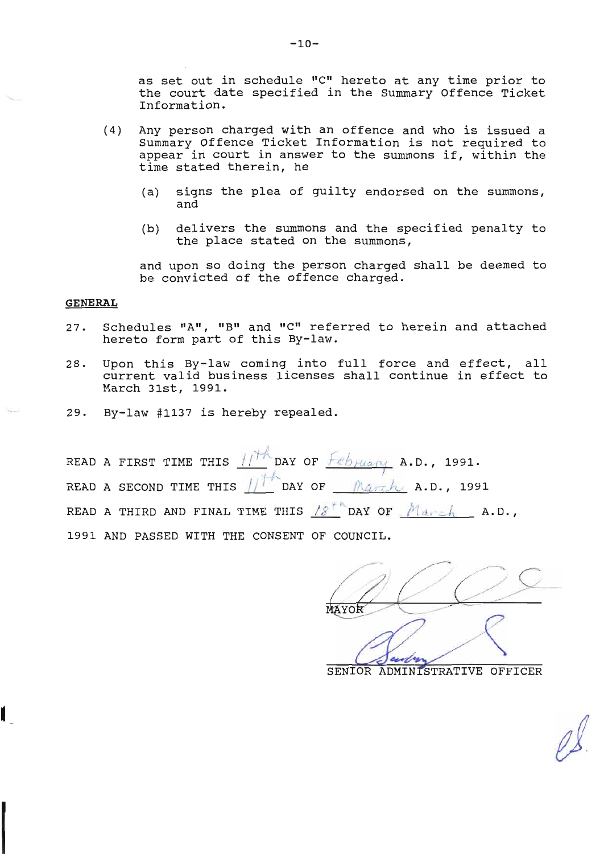as set out in schedule "C" hereto at any time prior to the court date specified in the Summary Offence Ticket Information.

- $(4)$ Any person charged with an offence and who is issued a summary Offence Ticket Information is not required to appear in court in answer to the summons if, within the time stated therein, he
	- signs the plea of guilty endorsed on the summons,  $(a)$ and
	- $(b)$ delivers the summons and the specified penalty to the place stated on the summons,

and upon so doing the person charged shall be deemed to be convicted of the offence charged.

### **GENERAL**

- Schedules "A", "B" and "C" referred to herein and attached 27. hereto form part of this By-law.
- Upon this By-law coming into full force and effect, all 28. current valid business licenses shall continue in effect to March 31st, 1991.
- By-law #1137 is hereby repealed.  $29.$

READ A FIRST TIME THIS  $11^{+4}$  DAY OF  $\frac{66}{100}$  A.D., 1991. READ A SECOND TIME THIS  $\iiint$  DAY OF  $\mathbb{R}$ arch A.D., 1991 READ A THIRD AND FINAL TIME THIS  $18^{t}$  DAY OF  $Max \in \mathbb{A}$  A.D., 1991 AND PASSED WITH THE CONSENT OF COUNCIL.

MAYOF

SENIOR ADMINISTRATIVE OFFICER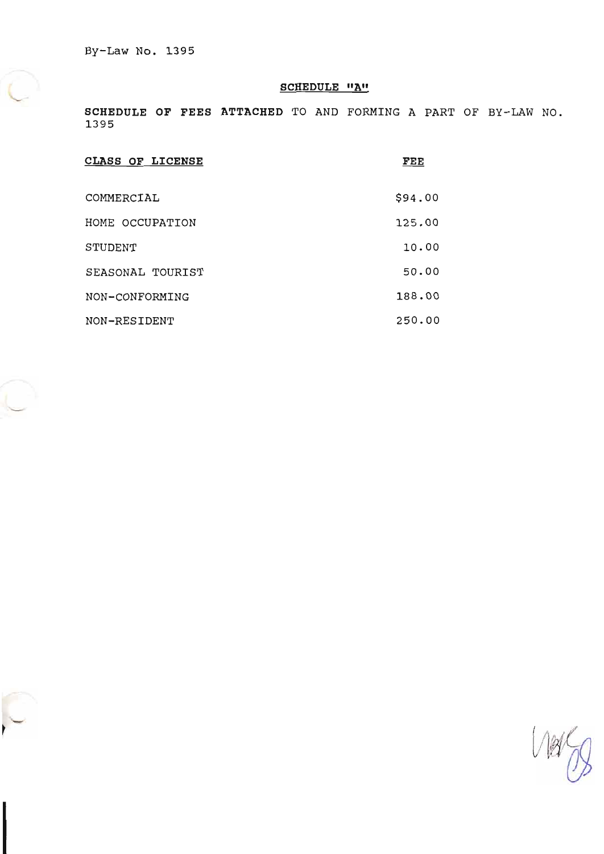# **SCHEDULE "A"**

SCHEDULE OF FEES ATTACHED TO AND FORMING A PART OF BY-LAW NO. 1395

| <b>CLASS OF LICENSE</b> | FEE     |
|-------------------------|---------|
| COMMERCIAL              | \$94.00 |
| HOME OCCUPATION         | 125.00  |
| STUDENT                 | 10.00   |
| SEASONAL TOURIST        | 50.00   |
| NON-CONFORMING          | 188.00  |
| NON-RESIDENT            | 250.00  |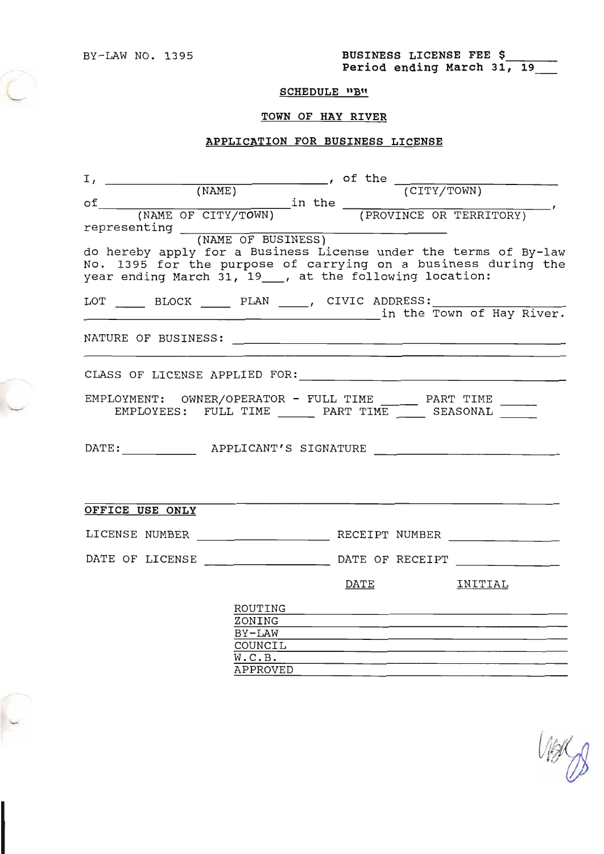BY-LAW NO. 1395 **BUSINESS LICENSE FEE \$**<br>**Period ending March 31, 19\_\_\_** 

# SCHEDULE "B"

# TOWN OF HAY RIVER

# APPLICATION FOR BUSINESS LTCENSE

| I, (NAME)<br>(NAME)<br>(NAME OF CITY/TOWN)<br>in the (PROVINCE OR TERRITORY)                                                                                                                 |                                                                                                                                                                                                                                |
|----------------------------------------------------------------------------------------------------------------------------------------------------------------------------------------------|--------------------------------------------------------------------------------------------------------------------------------------------------------------------------------------------------------------------------------|
|                                                                                                                                                                                              |                                                                                                                                                                                                                                |
| do hereby apply for a Business License under the terms of By-law<br>No. 1395 for the purpose of carrying on a business during the<br>year ending March 31, 19___, at the following location: |                                                                                                                                                                                                                                |
| LOT _____ BLOCK _____ PLAN ____, CIVIC ADDRESS: ______                                                                                                                                       | in the Town of Hay River.                                                                                                                                                                                                      |
|                                                                                                                                                                                              |                                                                                                                                                                                                                                |
|                                                                                                                                                                                              | <u> 1989 - Johann John Stone, markin sanadi ya kutoka mwaka wa 1989 - Amerika mwaka wa 1989 - Amerika mwaka wa 19</u>                                                                                                          |
|                                                                                                                                                                                              |                                                                                                                                                                                                                                |
| EMPLOYMENT: OWNER/OPERATOR - FULL TIME ______ PART TIME ______ EMPLOYEES: FULL TIME ______ PART TIME ______ SEASONAL _______                                                                 |                                                                                                                                                                                                                                |
| DATE: APPLICANT'S SIGNATURE                                                                                                                                                                  |                                                                                                                                                                                                                                |
|                                                                                                                                                                                              |                                                                                                                                                                                                                                |
| OFFICE USE ONLY                                                                                                                                                                              |                                                                                                                                                                                                                                |
|                                                                                                                                                                                              |                                                                                                                                                                                                                                |
|                                                                                                                                                                                              |                                                                                                                                                                                                                                |
|                                                                                                                                                                                              | <b>DATE</b><br><b>INITIAL</b>                                                                                                                                                                                                  |
|                                                                                                                                                                                              | ROUTING PROPERTY AND RESIDENCE IN A REPORT OF RESIDENCE IN A REPORT OF RESIDENCE IN A REPORT OF RESIDENCE IN A REPORT OF RESIDENCE IN A REPORT OF RESIDENCE IN A REPORT OF RESIDENCE IN A REPORT OF RESIDENCE IN A REPORT OF R |
|                                                                                                                                                                                              |                                                                                                                                                                                                                                |
|                                                                                                                                                                                              | BY-LAW BY-LAW                                                                                                                                                                                                                  |
| COUNCIL                                                                                                                                                                                      |                                                                                                                                                                                                                                |
| W.C.B.<br>APPROVED                                                                                                                                                                           |                                                                                                                                                                                                                                |

 $\frac{1}{8}$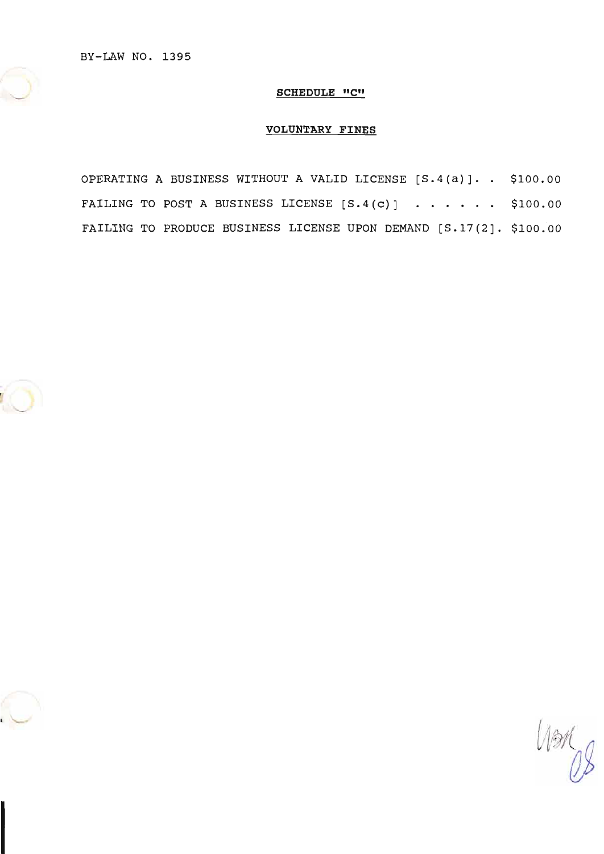BY-LAW NO. 1395

### **SCHEDULE "C"**

# **VOLUNTARY FINES**

OPERATING A BUSINESS WITHOUT A VALID LICENSE [S.4(a)]. . \$100.00 FAILING TO POST A BUSINESS LICENSE  $[S.4(c)]$  ...... \$100.00 FAILING TO PRODUCE BUSINESS LICENSE UPON DEMAND [S.17(2]. \$100.00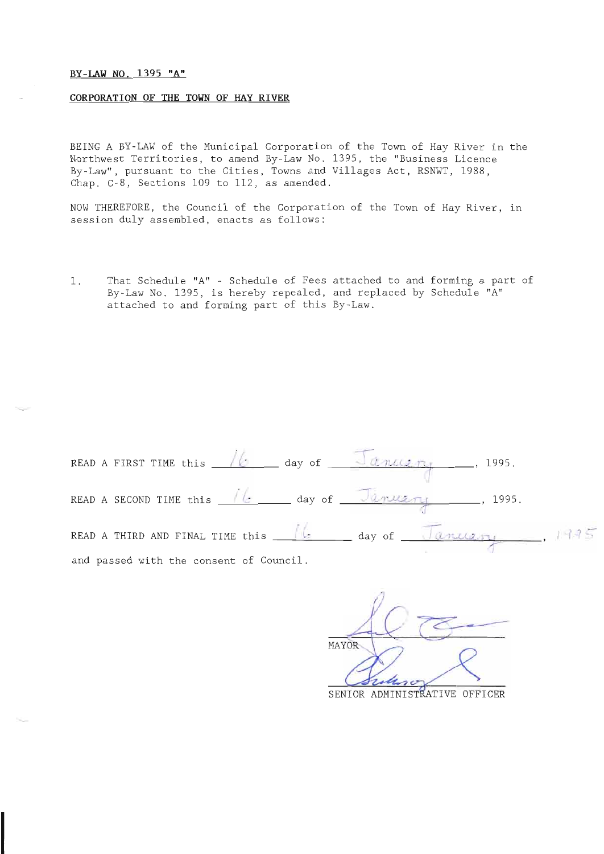### BY-LAW NO. 1395 "A"

### CORPORATION OF THE TOWN OF HAY RIVER

BEING A BY-LAW of the Municipal Corporation of the Town of Hay River in the Northwest Territories, to amend By-Law No. 1395, the "Business Licence By-Law", pursuant to the Cities, Towns and Villages Act, RSNWT, 1988, Chap. C-8, Sections 109 to 112, as amended.

NOW THEREFORE, the Council of the Corporation of the Town of Hay River, in<br>session duly assembled, enacts as follows:

L. That Schedule "A" - Schedule of Fees attached to and forming a part of By-Law No. 1395, is hereby repealed, and replaced by Schedule "A" attached to and forming part of this By-Law.

| READ A FIRST TIME this $\sqrt{6}$ day of $\sqrt{995}$ .                  |  |                                                                                   |
|--------------------------------------------------------------------------|--|-----------------------------------------------------------------------------------|
| READ A SECOND TIME this $\sqrt{6}$ day of $\sqrt{2n\pi x^2 + 1}$ , 1995. |  |                                                                                   |
|                                                                          |  | READ A THIRD AND FINAL TIME this $\frac{16}{2}$ day of $\sqrt{anu_{2m}}$ , $1935$ |
| and passed with the consent of Council.                                  |  |                                                                                   |

MAYOR SENIOR ADMINISTRATIVE OFFICER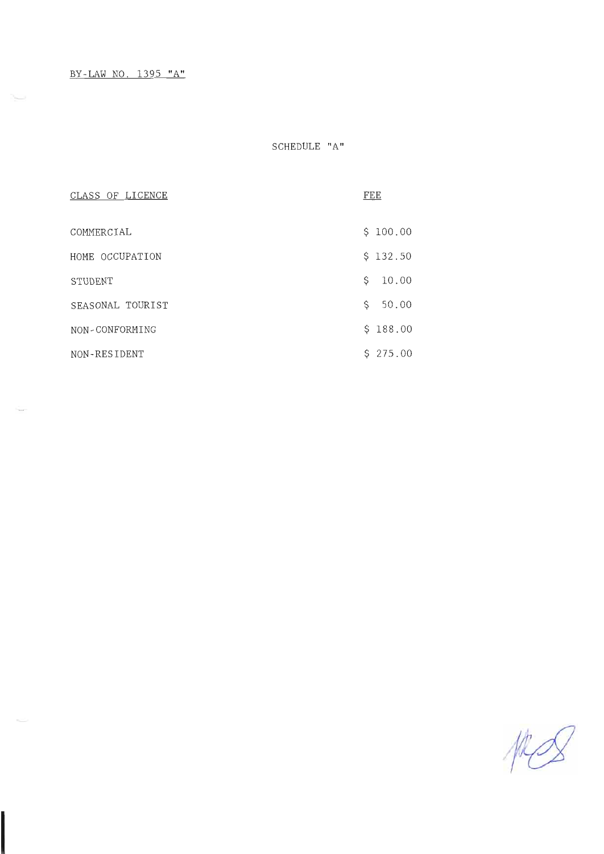SCHEDULE "A"

| CLASS OF LICENCE | FEE         |
|------------------|-------------|
| COMMERCIAL       | \$100.00    |
| HOME OCCUPATION  | \$132.50    |
| STUDENT          | 10.00<br>\$ |
| SEASONAL TOURIST | \$<br>50.00 |
| NON-CONFORMING   | \$188.00    |
| NON-RESIDENT     | \$275.00    |

I

MS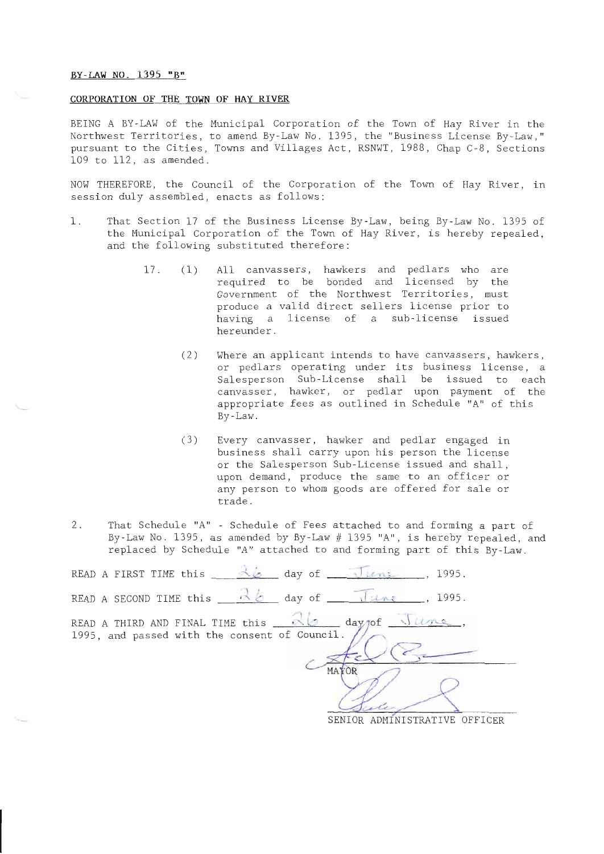#### BY-LAW NO- 1395 "8"

#### CORPORATION OF THE TOWN OF HAY RIVER

BEING A BY-LAW of the Municipal Corporation of the Town of Hay River in the Northwest Territories, to amend By-Law No. 1395, the "Business License By-Law," pursuant to the Cities, Towns and Villages Act, RSNWT, 1988, Chap C-8, Sections LO9 to LLZ, as amended.

NOW THEREFORE, the Council of the Corporation of the Town of Hay River, in session duly assembled, enacts as follows:

- 1. That Section 17 of the Business License By-Law, being By-Law No. 1395 of the Municipal Corporacion of the Town of Hay River, is hereby repealed, and the following substituted therefore:
	- 17 . (1) A11 canvassers, hawkers and pedlars who are required to be bonded and licensed by the Government of the Northwest Territories, must produce a valid direet sellers license prior to having a license of a sub-license issued hereunder.
		- (2) Where an applicant intends to have canvassers, hawkers, or pedlars operating under its business license, a Salesperson Sub-License shall be issued to each canvasser, hawker, ot pedlar upon payment of the appropriate fees as outlined in Schedule "A" of this By-Law.
		- (3) Every canvasser, hawker and pedlar engaged in business shall carry upon his person the license or the Salesperson Sub-License issued and shall, upon demand, produce the same to an officer or any person to whom goods are offered for sale or trade.
- 2. That Schedule "A" Schedule of Fees attached to and forming a part of By-Law No. 1395, as amended by By-Law  $\#$  1395 "A", is hereby repealed, and replaced by Schedule "A" attached to and forming part of this By-Law.

| READ A FIRST TIME this $\frac{\lambda_6}{\lambda_6}$ day of June, 1995.                            |    |                                 |         |
|----------------------------------------------------------------------------------------------------|----|---------------------------------|---------|
| READ A SECOND TIME this $\frac{\partial}{\partial \theta}$ day of $\sqrt{\theta}$ .                |    |                                 |         |
| READ A THIRD AND FINAL TIME this 26 day not live.<br>1995, and passed with the consent of Council. | MA | <b>ADMINICTPATIVE</b><br>SENIOP | OFFICER |

SEN]OR ADMINISTRATIVE OFFICER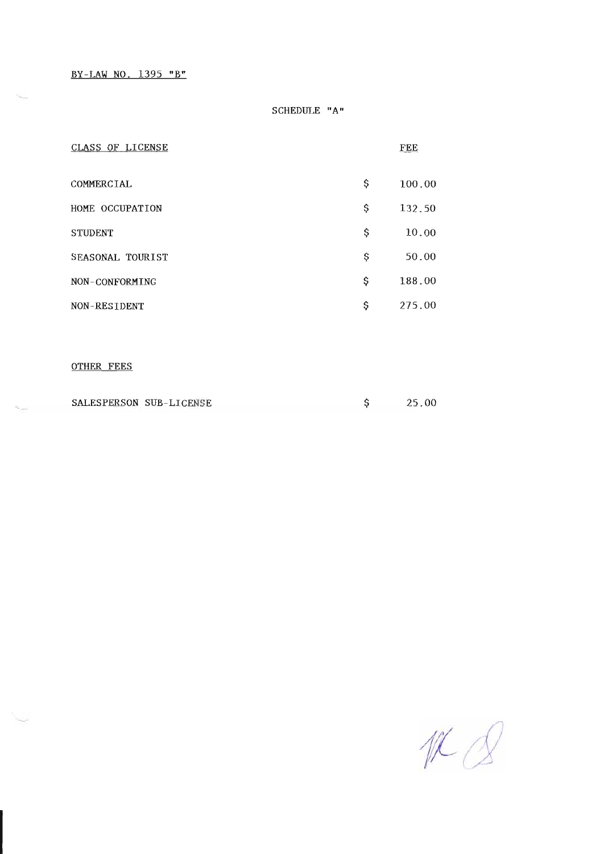BY-LAW NO. 1395 "B"

### SCHEDULE "A"

| CLASS OF LICENSE        |    | FEE    |
|-------------------------|----|--------|
| <b>COMMERCIAL</b>       | \$ | 100.00 |
| HOME OCCUPATION         | \$ | 132.50 |
| <b>STUDENT</b>          | \$ | 10.00  |
| SEASONAL TOURIST        | Ş  | 50.00  |
| NON-CONFORMING          | \$ | 188.00 |
| NON-RESIDENT            | \$ | 275.00 |
|                         |    |        |
| <b>OTHER FEES</b>       |    |        |
| SALESPERSON SUB-LICENSE | \$ | 25.00  |

 $UCQ$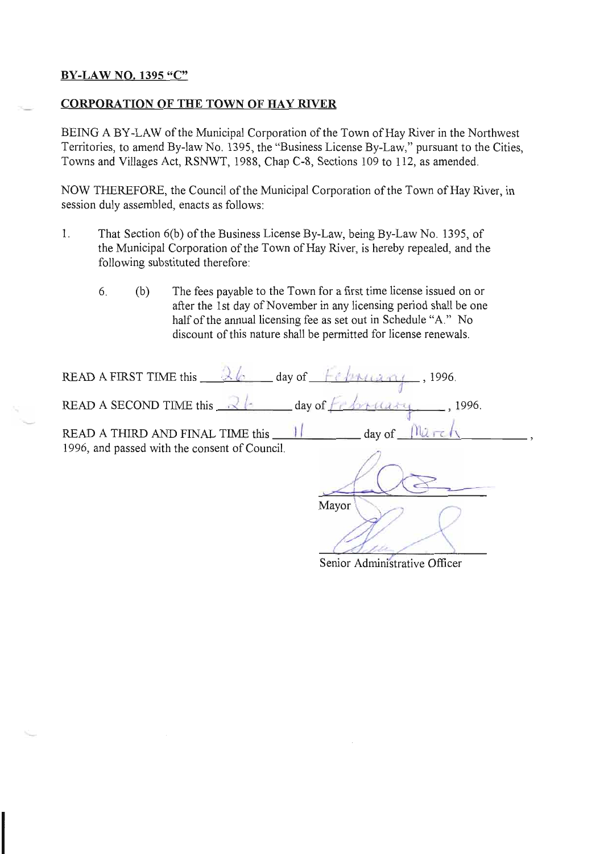# BY-LAW NO. 1395 "C"

# **CORPORATION OF THE TOWN OF HAY RIVER**

BEING A BY-LAW of the Municipal Corporation of the Town of Hay River in the Northwest Territories, to amend By-law No. 1395, the "Business License By-Law," pursuant to the Cities, Towns and villages Act, RSNwr, 1988, chap c-8, Sections 109 to ll2, as amended.

NOW THEREFORE, the Council of the Municipal Corporation of the Town of Hay River, in session duly assembled, enacts as follows:

- 1. That Section 6(b) of the Business License By-Law, being By-Law No. 1395, of the Municipal Corporation of the Town of Hay River, is hereby repealed, and the following substituted therefore:
	- 6. (b) The fees payable to the Town for a first time license issued on or after the lst day of November in any licensing period shall be one half of the annual licensing fee as set out in Schedule "A." No discount of this nature shall be permitted for license renewals.

| READ A FIRST TIME this $\frac{1}{2}$ $\frac{1}{2}$ day of $\frac{1}{2}$<br>, 1996.                   |
|------------------------------------------------------------------------------------------------------|
| READ A SECOND TIME this $\mathbb{R}$<br>$\frac{1}{2}$ day of<br>1996.                                |
| READ A THIRD AND FINAL TIME this<br>day of<br>1996, and passed with the consent of Council.<br>Mayor |

Senior Administrative Officer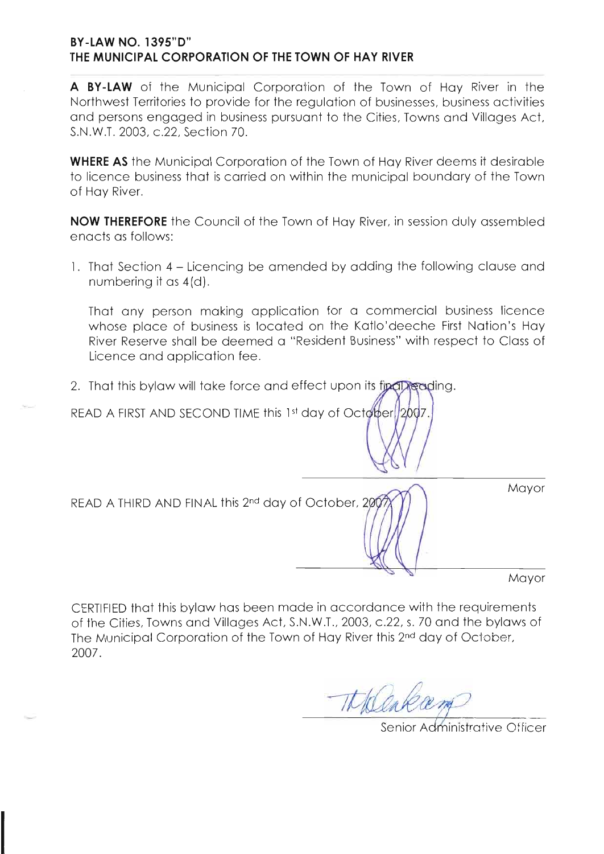# **BY-LAW NO. 1395"D"** THE MUNICIPAL CORPORATION OF THE TOWN OF HAY RIVER

A BY-LAW of the Municipal Corporation of the Town of Hay River in the Northwest Territories to provide for the regulation of businesses, business activities and persons engaged in business pursuant to the Cities, Towns and Villages Act. S.N.W.T. 2003, c.22, Section 70.

**WHERE AS** the Municipal Corporation of the Town of Hay River deems it desirable to licence business that is carried on within the municipal boundary of the Town of Hay River.

**NOW THEREFORE** the Council of the Town of Hay River, in session duly assembled enacts as follows:

1. That Section 4 – Licencing be amended by adding the following clause and numbering it as 4(d).

That any person making application for a commercial business licence whose place of business is located on the Katlo'deeche First Nation's Hay River Reserve shall be deemed a "Resident Business" with respect to Class of Licence and application fee.

2. That this bylaw will take force and effect upon its final reading.

READ A FIRST AND SECOND TIME this 1st day of October (2007)

| READ A THIRD AND FINAL this 2nd day of October, 2007 | Mayor |
|------------------------------------------------------|-------|
|                                                      |       |

CERTIFIED that this bylaw has been made in accordance with the requirements of the Cities, Towns and Villages Act, S.N.W.T., 2003, c.22, s. 70 and the bylaws of The Municipal Corporation of the Town of Hay River this 2nd day of October. 2007.

Senior Administrative Officer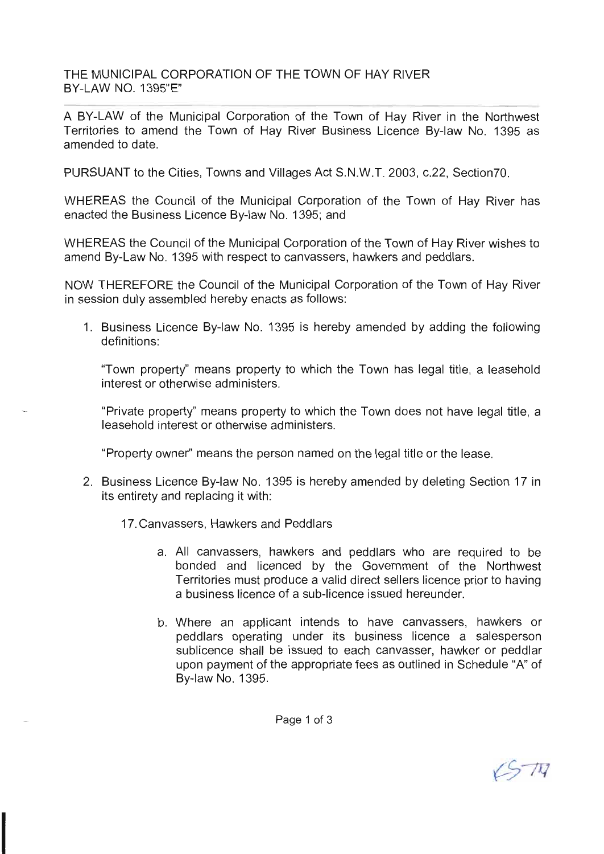THE MUNICIPAL CORPORATION OF THE TOWN OF HAY RIVER BY-LAW NO. 1395'E"

A BY-LAW of the Municipal Corporation of the Town of Hay River in the Northwest Territories to amend the Town of Hay River Business Licence By-law No. 1395 as amended to date.

PURSUANT to the Cities, Towns and Villages Act S.N.W.T. 2003, c.22, Section70.

WHEREAS the Council of the Municipal Corporation of the Town of Hay River has enacted the Business Licence By-law No. 1395; and

WHEREAS the Council of the Municipal Corporation of the Town of Hay River wishes to amend By-Law No. 1395 with respect to canvassers, hawkers and peddlars.

NOW THEREFORE the Council of the Municipal Corporation of the Town of Hay River in session duly assembled hereby enacts as follows:

1. Business Licence By-law No. 1395 is hereby amended by adding the following definitions:

"Town property'' means property to which the Town has legal title, a leasehold interest or otherwise administers.

"Private property'' means property to which the Town does not have legal title, a leasehold interest or otherwise administers.

"Property owner" means the person named on the legal title or the lease.

- 2. Business Licence By-law No. 1395 is hereby amended by deleting Section 17 in its entirety and replacing it with:
	- 17. Canvassers, Hawkers and Peddlars
		- a. All canvassers, hawkers and peddlars who are required to be bonded and licenced by the Government of the Northwest Territories must produce a valid direct sellers licence prior to having a business licence of a sub-licence issued hereunder.
		- b. Where an applicant intends to have canvassers, hawkers or peddlars operating under its business licence a salesperson sublicence shall be issued to each canvasser, hawker or peddlar upon payment of the appropriate fees as outlined in Schedule "A" of By-law No. 1395.

 $5\pi$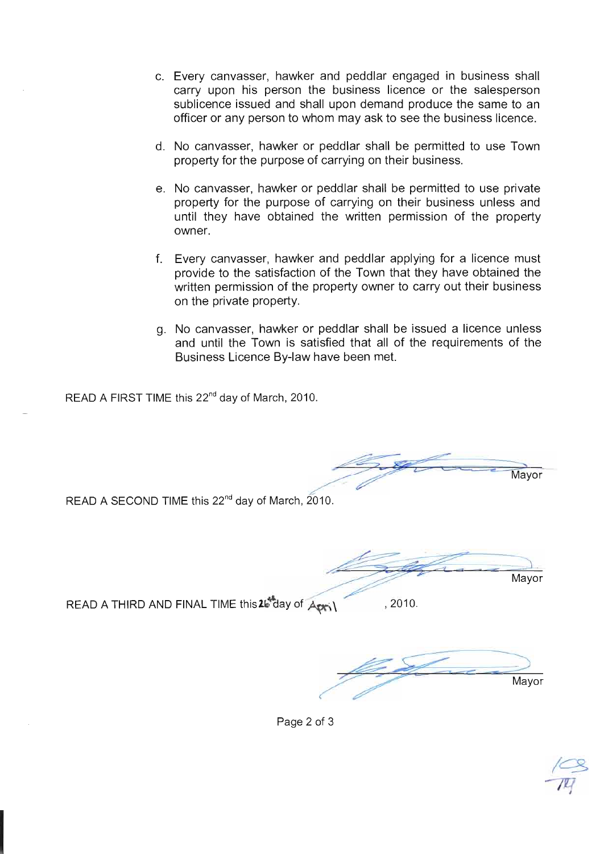- Every canvasser, hawker and peddlar engaged in business shall carry upon his person the business licence or the salesperson sublicence issued and shall upon demand produce the same to an officer or any person to whom may ask to see the business licence.
- d. No canvasser, hawker or peddlar shall be permitted to use Town property for the purpose of carrying on their business.
- No canvasser, hawker or peddlar shall be permitted to use private property for the purpose of carrying on their business unless and until they have obtained the written permission of the property owner.
- Every canvasser, hawker and peddlar applying for a licence must f. provide to the satisfaction of the Town that they have obtained the written permission of the property owner to carry out their business on the private property.
- No canvasser, hawker or peddlar shall be issued a licence unless g. and until the Town is satisfied that all of the requirements of the Business Licence By-law have been met.

READ A FIRST TIME this 22<sup>nd</sup> day of March, 2010.

Mayor

READ A SECOND TIME this 22<sup>nd</sup> day of March, 2010.

Mayor

READ A THIRD AND FINAL TIME this 26 day of April , 2010.

Mayor

Page 2 of 3